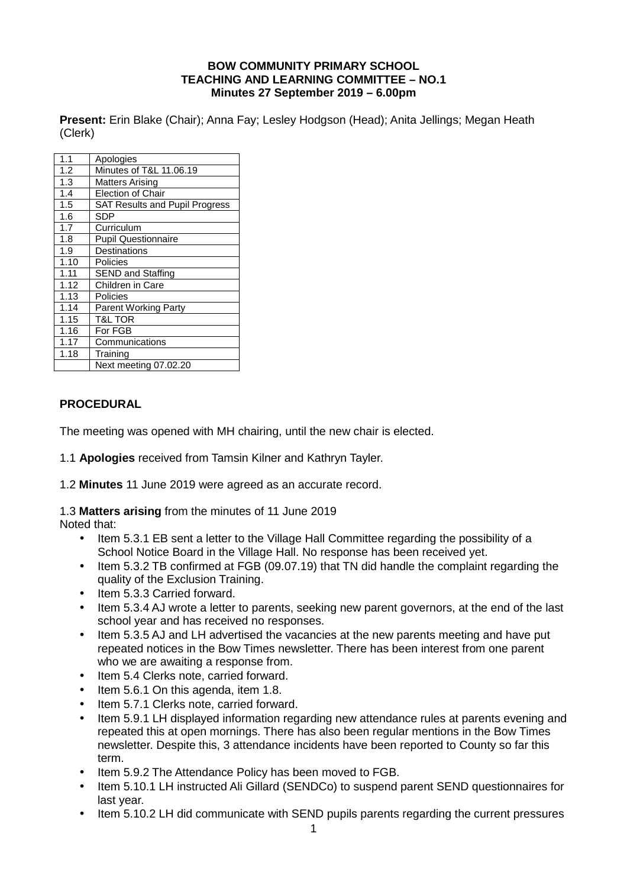#### **BOW COMMUNITY PRIMARY SCHOOL TEACHING AND LEARNING COMMITTEE – NO.1 Minutes 27 September 2019 – 6.00pm**

**Present:** Erin Blake (Chair); Anna Fay; Lesley Hodgson (Head); Anita Jellings; Megan Heath (Clerk)

| 1.1  | Apologies                             |
|------|---------------------------------------|
| 1.2  | Minutes of T&L 11.06.19               |
| 1.3  | Matters Arising                       |
| 1.4  | <b>Election of Chair</b>              |
| 1.5  | <b>SAT Results and Pupil Progress</b> |
| 1.6  | SDP                                   |
| 1.7  | Curriculum                            |
| 1.8  | <b>Pupil Questionnaire</b>            |
| 1.9  | Destinations                          |
| 1.10 | Policies                              |
| 1.11 | <b>SEND and Staffing</b>              |
| 1.12 | Children in Care                      |
| 1.13 | Policies                              |
| 1.14 | <b>Parent Working Party</b>           |
| 1.15 | T&L TOR                               |
| 1.16 | For FGB                               |
| 1.17 | Communications                        |
| 1.18 | Training                              |
|      | Next meeting 07.02.20                 |
|      |                                       |

### **PROCEDURAL**

The meeting was opened with MH chairing, until the new chair is elected.

1.1 **Apologies** received from Tamsin Kilner and Kathryn Tayler.

1.2 **Minutes** 11 June 2019 were agreed as an accurate record.

1.3 **Matters arising** from the minutes of 11 June 2019

Noted that:

- Item 5.3.1 EB sent a letter to the Village Hall Committee regarding the possibility of a School Notice Board in the Village Hall. No response has been received yet.
- Item 5.3.2 TB confirmed at FGB (09.07.19) that TN did handle the complaint regarding the quality of the Exclusion Training.
- Item 5.3.3 Carried forward.
- Item 5.3.4 AJ wrote a letter to parents, seeking new parent governors, at the end of the last school year and has received no responses.
- Item 5.3.5 AJ and LH advertised the vacancies at the new parents meeting and have put repeated notices in the Bow Times newsletter. There has been interest from one parent who we are awaiting a response from.
- Item 5.4 Clerks note, carried forward.
- Item 5.6.1 On this agenda, item 1.8.
- Item 5.7.1 Clerks note, carried forward.
- Item 5.9.1 LH displayed information regarding new attendance rules at parents evening and repeated this at open mornings. There has also been regular mentions in the Bow Times newsletter. Despite this, 3 attendance incidents have been reported to County so far this term.
- Item 5.9.2 The Attendance Policy has been moved to FGB.
- Item 5.10.1 LH instructed Ali Gillard (SENDCo) to suspend parent SEND questionnaires for last year.
- Item 5.10.2 LH did communicate with SEND pupils parents regarding the current pressures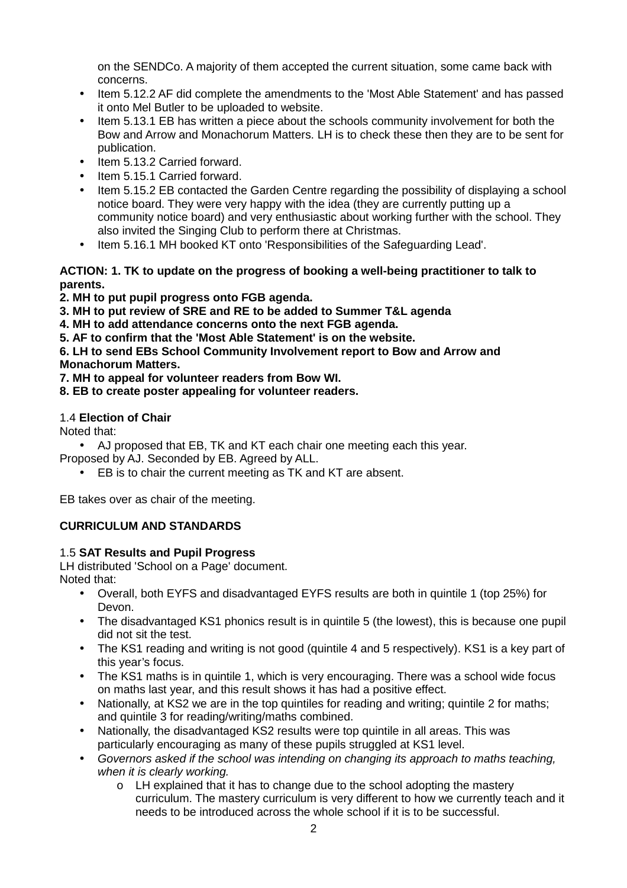on the SENDCo. A majority of them accepted the current situation, some came back with concerns.

- Item 5.12.2 AF did complete the amendments to the 'Most Able Statement' and has passed it onto Mel Butler to be uploaded to website.
- Item 5.13.1 EB has written a piece about the schools community involvement for both the Bow and Arrow and Monachorum Matters. LH is to check these then they are to be sent for publication.
- Item 5.13.2 Carried forward.
- Item 5.15.1 Carried forward.
- Item 5.15.2 EB contacted the Garden Centre regarding the possibility of displaying a school notice board. They were very happy with the idea (they are currently putting up a community notice board) and very enthusiastic about working further with the school. They also invited the Singing Club to perform there at Christmas.
- Item 5.16.1 MH booked KT onto 'Responsibilities of the Safeguarding Lead'.

### **ACTION: 1. TK to update on the progress of booking a well-being practitioner to talk to parents.**

- **2. MH to put pupil progress onto FGB agenda.**
- **3. MH to put review of SRE and RE to be added to Summer T&L agenda**
- **4. MH to add attendance concerns onto the next FGB agenda.**
- **5. AF to confirm that the 'Most Able Statement' is on the website.**

#### **6. LH to send EBs School Community Involvement report to Bow and Arrow and Monachorum Matters.**

- **7. MH to appeal for volunteer readers from Bow WI.**
- **8. EB to create poster appealing for volunteer readers.**

### 1.4 **Election of Chair**

Noted that:

• AJ proposed that EB, TK and KT each chair one meeting each this year.

- Proposed by AJ. Seconded by EB. Agreed by ALL.
	- EB is to chair the current meeting as TK and KT are absent.

EB takes over as chair of the meeting.

# **CURRICULUM AND STANDARDS**

# 1.5 **SAT Results and Pupil Progress**

LH distributed 'School on a Page' document. Noted that:

- Overall, both EYFS and disadvantaged EYFS results are both in quintile 1 (top 25%) for Devon.
- The disadvantaged KS1 phonics result is in quintile 5 (the lowest), this is because one pupil did not sit the test.
- The KS1 reading and writing is not good (quintile 4 and 5 respectively). KS1 is a key part of this year's focus.
- The KS1 maths is in quintile 1, which is very encouraging. There was a school wide focus on maths last year, and this result shows it has had a positive effect.
- Nationally, at KS2 we are in the top quintiles for reading and writing; quintile 2 for maths; and quintile 3 for reading/writing/maths combined.
- Nationally, the disadvantaged KS2 results were top quintile in all areas. This was particularly encouraging as many of these pupils struggled at KS1 level.
- Governors asked if the school was intending on changing its approach to maths teaching, when it is clearly working.
	- $\circ$  LH explained that it has to change due to the school adopting the mastery curriculum. The mastery curriculum is very different to how we currently teach and it needs to be introduced across the whole school if it is to be successful.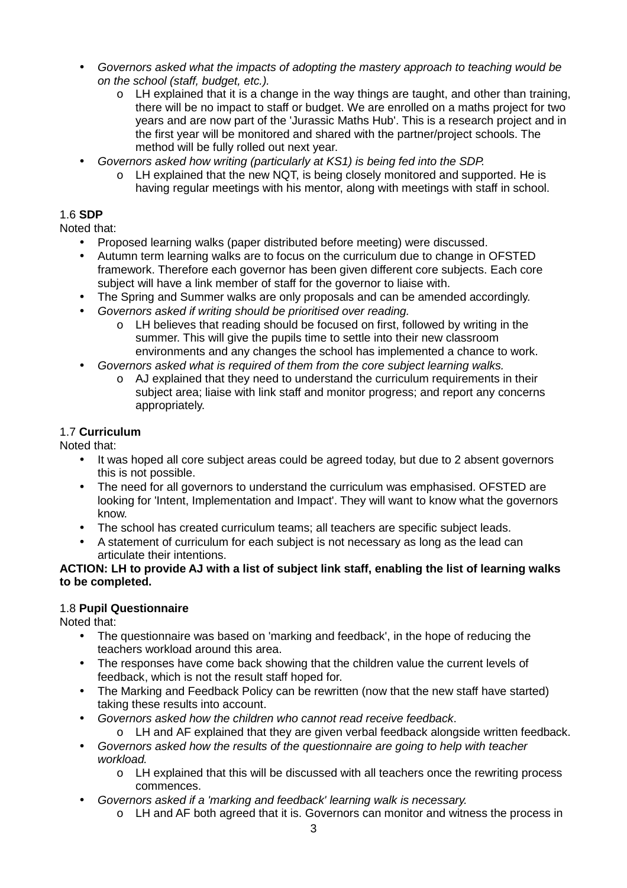- Governors asked what the impacts of adopting the mastery approach to teaching would be on the school (staff, budget, etc.).
	- $\circ$  LH explained that it is a change in the way things are taught, and other than training, there will be no impact to staff or budget. We are enrolled on a maths project for two years and are now part of the 'Jurassic Maths Hub'. This is a research project and in the first year will be monitored and shared with the partner/project schools. The method will be fully rolled out next year.
- Governors asked how writing (particularly at KS1) is being fed into the SDP.
	- $\circ$  LH explained that the new NQT, is being closely monitored and supported. He is having regular meetings with his mentor, along with meetings with staff in school.

# 1.6 **SDP**

Noted that:

- Proposed learning walks (paper distributed before meeting) were discussed.
- Autumn term learning walks are to focus on the curriculum due to change in OFSTED framework. Therefore each governor has been given different core subjects. Each core subject will have a link member of staff for the governor to liaise with.
- The Spring and Summer walks are only proposals and can be amended accordingly.
- Governors asked if writing should be prioritised over reading.
	- o LH believes that reading should be focused on first, followed by writing in the summer. This will give the pupils time to settle into their new classroom environments and any changes the school has implemented a chance to work.
- Governors asked what is required of them from the core subject learning walks.
	- $\circ$  AJ explained that they need to understand the curriculum requirements in their subject area; liaise with link staff and monitor progress; and report any concerns appropriately.

# 1.7 **Curriculum**

Noted that:

- It was hoped all core subject areas could be agreed today, but due to 2 absent governors this is not possible.
- The need for all governors to understand the curriculum was emphasised. OFSTED are looking for 'Intent, Implementation and Impact'. They will want to know what the governors know.
- The school has created curriculum teams; all teachers are specific subject leads.
- A statement of curriculum for each subject is not necessary as long as the lead can articulate their intentions.

#### **ACTION: LH to provide AJ with a list of subject link staff, enabling the list of learning walks to be completed.**

# 1.8 **Pupil Questionnaire**

Noted that:

- The questionnaire was based on 'marking and feedback', in the hope of reducing the teachers workload around this area.
- The responses have come back showing that the children value the current levels of feedback, which is not the result staff hoped for.
- The Marking and Feedback Policy can be rewritten (now that the new staff have started) taking these results into account.
	- Governors asked how the children who cannot read receive feedback.
		- o LH and AF explained that they are given verbal feedback alongside written feedback.
- Governors asked how the results of the questionnaire are going to help with teacher workload.
	- o LH explained that this will be discussed with all teachers once the rewriting process commences.
- Governors asked if a 'marking and feedback' learning walk is necessary.
	- o LH and AF both agreed that it is. Governors can monitor and witness the process in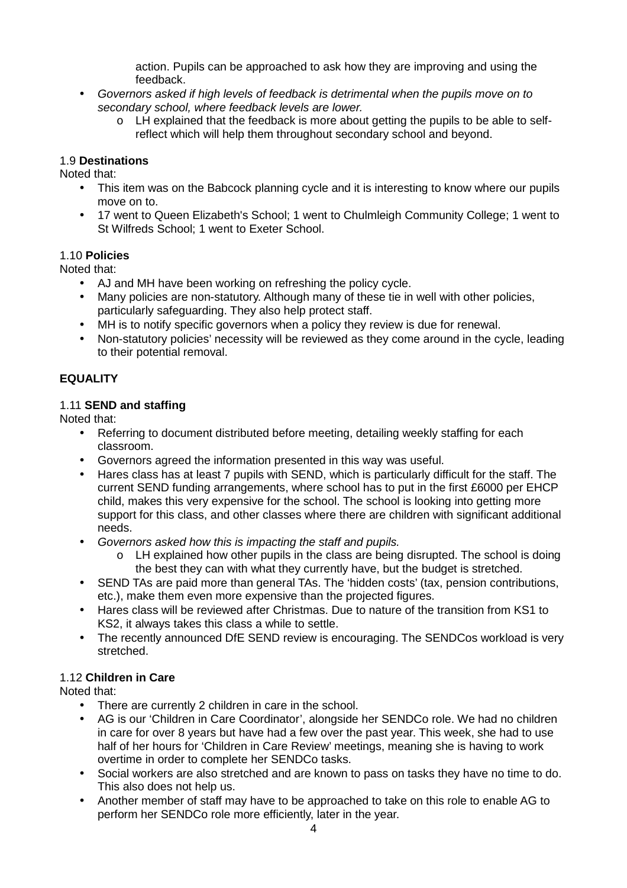action. Pupils can be approached to ask how they are improving and using the feedback.

- Governors asked if high levels of feedback is detrimental when the pupils move on to secondary school, where feedback levels are lower.
	- o LH explained that the feedback is more about getting the pupils to be able to selfreflect which will help them throughout secondary school and beyond.

### 1.9 **Destinations**

Noted that:

- This item was on the Babcock planning cycle and it is interesting to know where our pupils move on to.
- 17 went to Queen Elizabeth's School; 1 went to Chulmleigh Community College; 1 went to St Wilfreds School; 1 went to Exeter School.

#### 1.10 **Policies**

Noted that:

- AJ and MH have been working on refreshing the policy cycle.
- Many policies are non-statutory. Although many of these tie in well with other policies, particularly safeguarding. They also help protect staff.
- MH is to notify specific governors when a policy they review is due for renewal.
- Non-statutory policies' necessity will be reviewed as they come around in the cycle, leading to their potential removal.

# **EQUALITY**

#### 1.11 **SEND and staffing**

Noted that:

- Referring to document distributed before meeting, detailing weekly staffing for each classroom.
- Governors agreed the information presented in this way was useful.
- Hares class has at least 7 pupils with SEND, which is particularly difficult for the staff. The current SEND funding arrangements, where school has to put in the first £6000 per EHCP child, makes this very expensive for the school. The school is looking into getting more support for this class, and other classes where there are children with significant additional needs.
- Governors asked how this is impacting the staff and pupils.
	- $\circ$  LH explained how other pupils in the class are being disrupted. The school is doing the best they can with what they currently have, but the budget is stretched.
- SEND TAs are paid more than general TAs. The 'hidden costs' (tax, pension contributions, etc.), make them even more expensive than the projected figures.
- Hares class will be reviewed after Christmas. Due to nature of the transition from KS1 to KS2, it always takes this class a while to settle.
- The recently announced DfE SEND review is encouraging. The SENDCos workload is very stretched.

# 1.12 **Children in Care**

Noted that:

- There are currently 2 children in care in the school.
- AG is our 'Children in Care Coordinator', alongside her SENDCo role. We had no children in care for over 8 years but have had a few over the past year. This week, she had to use half of her hours for 'Children in Care Review' meetings, meaning she is having to work overtime in order to complete her SENDCo tasks.
- Social workers are also stretched and are known to pass on tasks they have no time to do. This also does not help us.
- Another member of staff may have to be approached to take on this role to enable AG to perform her SENDCo role more efficiently, later in the year.